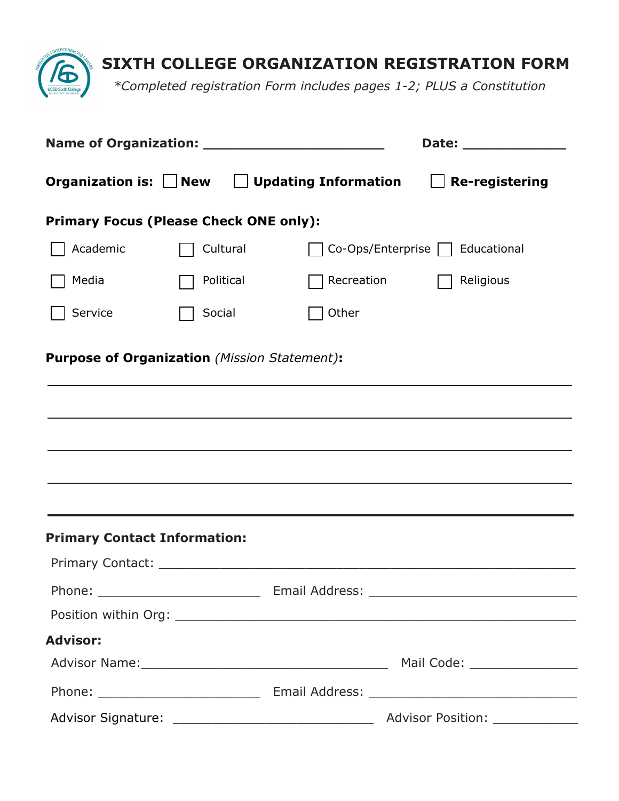

|                                                         |           |            | Date: ______________              |  |
|---------------------------------------------------------|-----------|------------|-----------------------------------|--|
| Organization is: $\Box$ New $\Box$ Updating Information |           |            | <b>Re-registering</b>             |  |
| <b>Primary Focus (Please Check ONE only):</b>           |           |            |                                   |  |
| Academic                                                | Cultural  |            | Co-Ops/Enterprise     Educational |  |
| Media                                                   | Political | Recreation | Religious                         |  |
| Service                                                 | Social    | Other      |                                   |  |
| <b>Purpose of Organization (Mission Statement):</b>     |           |            |                                   |  |
|                                                         |           |            |                                   |  |
|                                                         |           |            |                                   |  |
|                                                         |           |            |                                   |  |
|                                                         |           |            |                                   |  |
|                                                         |           |            |                                   |  |
| <b>Primary Contact Information:</b>                     |           |            |                                   |  |
|                                                         |           |            |                                   |  |
|                                                         |           |            |                                   |  |
|                                                         |           |            |                                   |  |
| <b>Advisor:</b>                                         |           |            |                                   |  |
|                                                         |           |            |                                   |  |
|                                                         |           |            |                                   |  |
|                                                         |           |            |                                   |  |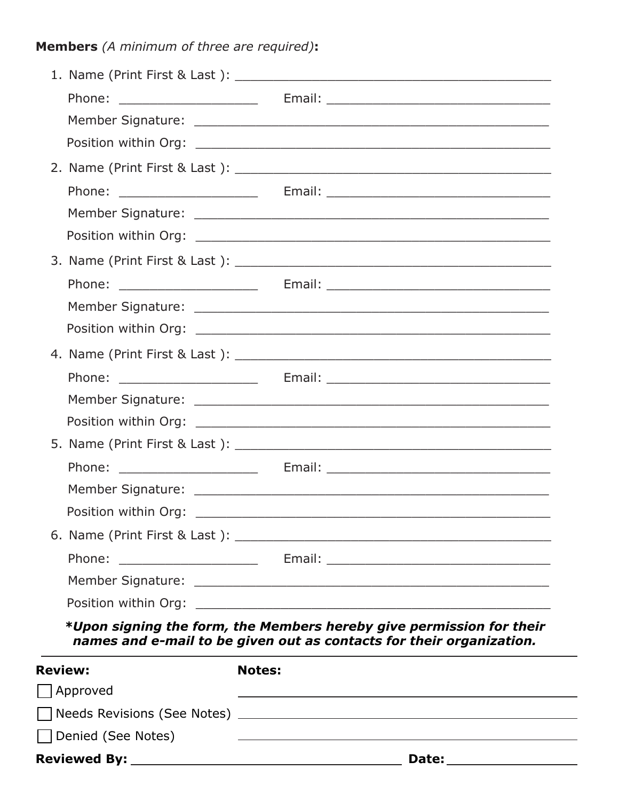**Members** *(A minimum of three are required)***:**

| <b>Review:</b> | Approved                        | <b>Notes:</b>                                                                                                                                |
|----------------|---------------------------------|----------------------------------------------------------------------------------------------------------------------------------------------|
|                |                                 | *Upon signing the form, the Members hereby give permission for their<br>names and e-mail to be given out as contacts for their organization. |
|                |                                 |                                                                                                                                              |
|                |                                 | Member Signature: Latin Management Communication of the Communication of the Communication of the Communication                              |
|                | Phone:                          |                                                                                                                                              |
|                |                                 |                                                                                                                                              |
|                | Position within Org:            |                                                                                                                                              |
|                |                                 |                                                                                                                                              |
|                | Phone: _____________________    |                                                                                                                                              |
|                |                                 |                                                                                                                                              |
|                |                                 |                                                                                                                                              |
|                |                                 |                                                                                                                                              |
|                |                                 |                                                                                                                                              |
|                |                                 |                                                                                                                                              |
|                |                                 |                                                                                                                                              |
|                |                                 |                                                                                                                                              |
|                |                                 |                                                                                                                                              |
|                |                                 |                                                                                                                                              |
|                |                                 |                                                                                                                                              |
|                | Phone: ________________________ |                                                                                                                                              |
|                |                                 |                                                                                                                                              |
|                |                                 |                                                                                                                                              |
|                |                                 |                                                                                                                                              |
|                | Phone: _______________________  |                                                                                                                                              |
|                |                                 |                                                                                                                                              |

| Needs Revisions (See Notes) |  |
|-----------------------------|--|
| Denied (See Notes)          |  |

**Reviewed By: Date:**